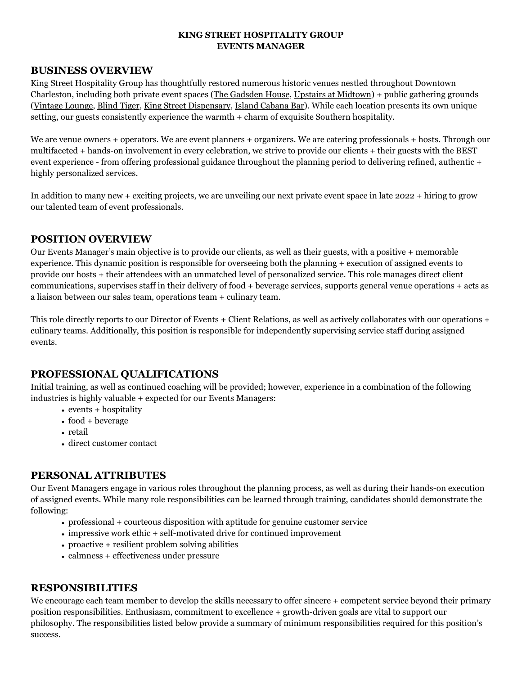## **KING STREET HOSPITALITY GROUP EVENTS MANAGER**

# **BUSINESS OVERVIEW**

[King Street Hospitality Group](https://www.kingstreethospitalitygroup.com/) has thoughtfully restored numerous historic venues nestled throughout Downtown Charleston, including both private event spaces ([The Gadsden House,](http://www.gadsdenhouse.com/) [Upstairs at Midtown\)](http://www.upstairsatmidtown.com/) + public gathering grounds ([Vintage Lounge](https://www.vintagechs.com/), [Blind Tiger,](https://blindtigerchs.com/) [King Street Dispensary](https://kingstreetdispensary.com/), [Island Cabana Bar\)](https://www.islandcabanabarchs.com/). While each location presents its own unique setting, our guests consistently experience the warmth + charm of exquisite Southern hospitality.

We are venue owners + operators. We are event planners + organizers. We are catering professionals + hosts. Through our multifaceted + hands-on involvement in every celebration, we strive to provide our clients + their guests with the BEST event experience - from offering professional guidance throughout the planning period to delivering refined, authentic + highly personalized services.

In addition to many new + exciting projects, we are unveiling our next private event space in late 2022 + hiring to grow our talented team of event professionals.

# **POSITION OVERVIEW**

Our Events Manager's main objective is to provide our clients, as well as their guests, with a positive + memorable experience. This dynamic position is responsible for overseeing both the planning + execution of assigned events to provide our hosts + their attendees with an unmatched level of personalized service. This role manages direct client communications, supervises staff in their delivery of food + beverage services, supports general venue operations + acts as a liaison between our sales team, operations team + culinary team.

This role directly reports to our Director of Events + Client Relations, as well as actively collaborates with our operations + culinary teams. Additionally, this position is responsible for independently supervising service staff during assigned events.

# **PROFESSIONAL QUALIFICATIONS**

Initial training, as well as continued coaching will be provided; however, experience in a combination of the following industries is highly valuable + expected for our Events Managers:

- events + hospitality
- food + beverage
- retail
- direct customer contact

# **PERSONAL ATTRIBUTES**

Our Event Managers engage in various roles throughout the planning process, as well as during their hands-on execution of assigned events. While many role responsibilities can be learned through training, candidates should demonstrate the following:

- professional + courteous disposition with aptitude for genuine customer service
- impressive work ethic + self-motivated drive for continued improvement
- proactive + resilient problem solving abilities
- calmness + effectiveness under pressure

# **RESPONSIBILITIES**

We encourage each team member to develop the skills necessary to offer sincere + competent service beyond their primary position responsibilities. Enthusiasm, commitment to excellence + growth-driven goals are vital to support our philosophy. The responsibilities listed below provide a summary of minimum responsibilities required for this position's success.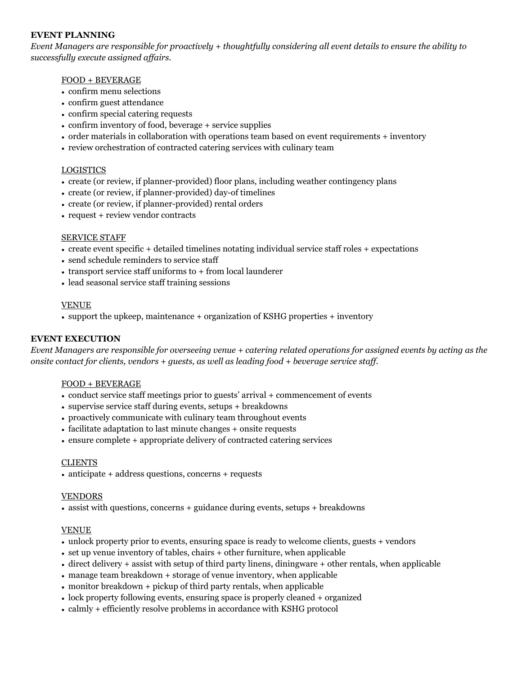## **EVENT PLANNING**

*Event Managers are responsible for proactively + thoughtfully considering all event details to ensure the ability to successfully execute assigned affairs.*

## FOOD + BEVERAGE

- confirm menu selections
- confirm guest attendance
- confirm special catering requests
- confirm inventory of food, beverage + service supplies
- order materials in collaboration with operations team based on event requirements + inventory
- review orchestration of contracted catering services with culinary team

### LOGISTICS

- create (or review, if planner-provided) floor plans, including weather contingency plans
- create (or review, if planner-provided) day-of timelines
- create (or review, if planner-provided) rental orders
- request + review vendor contracts

### SERVICE STAFF

- create event specific + detailed timelines notating individual service staff roles + expectations
- send schedule reminders to service staff
- transport service staff uniforms to + from local launderer
- lead seasonal service staff training sessions

### VENUE

• support the upkeep, maintenance + organization of KSHG properties + inventory

## **EVENT EXECUTION**

*Event Managers are responsible for overseeing venue + catering related operations for assigned events by acting as the onsite contact for clients, vendors + guests, as well as leading food + beverage service staff.*

#### FOOD + BEVERAGE

- conduct service staff meetings prior to guests' arrival + commencement of events
- supervise service staff during events, setups + breakdowns
- proactively communicate with culinary team throughout events
- facilitate adaptation to last minute changes + onsite requests
- ensure complete + appropriate delivery of contracted catering services

#### CLIENTS

• anticipate + address questions, concerns + requests

#### VENDORS

• assist with questions, concerns + guidance during events, setups + breakdowns

#### VENUE

- unlock property prior to events, ensuring space is ready to welcome clients, guests + vendors
- set up venue inventory of tables, chairs + other furniture, when applicable
- direct delivery + assist with setup of third party linens, diningware + other rentals, when applicable
- manage team breakdown + storage of venue inventory, when applicable
- monitor breakdown + pickup of third party rentals, when applicable
- lock property following events, ensuring space is properly cleaned + organized
- calmly + efficiently resolve problems in accordance with KSHG protocol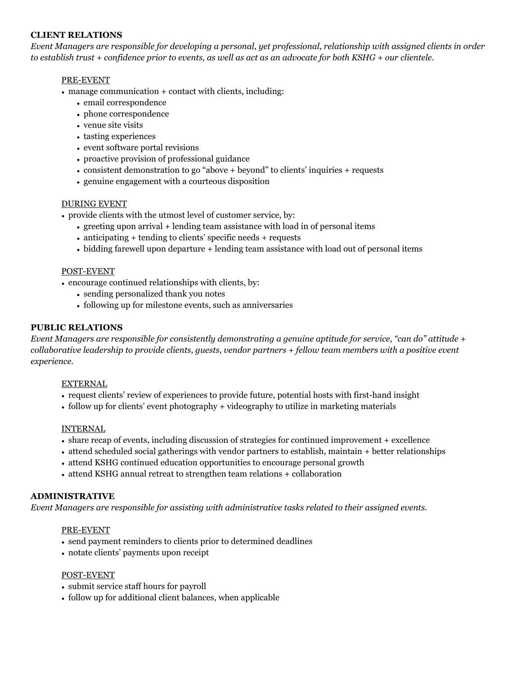## **CLIENT RELATIONS**

*Event Managers are responsible for developing a personal, yet professional, relationship with assigned clients in order to establish trust + confidence prior to events, as well as act as an advocate for both KSHG + our clientele.*

## PRE-EVENT

- manage communication + contact with clients, including:
	- email correspondence
	- phone correspondence
	- venue site visits
	- tasting experiences
	- event software portal revisions
	- proactive provision of professional guidance
	- consistent demonstration to go "above + beyond" to clients' inquiries + requests
	- genuine engagement with a courteous disposition

### DURING EVENT

• provide clients with the utmost level of customer service, by:

- greeting upon arrival + lending team assistance with load in of personal items
- anticipating + tending to clients' specific needs + requests
- bidding farewell upon departure + lending team assistance with load out of personal items

#### POST-EVENT

- encourage continued relationships with clients, by:
	- sending personalized thank you notes
	- following up for milestone events, such as anniversaries

### **PUBLIC RELATIONS**

*Event Managers are responsible for consistently demonstrating a genuine aptitude for service, "can do" attitude + collaborative leadership to provide clients, guests, vendor partners + fellow team members with a positive event experience.*

#### EXTERNAL

- request clients' review of experiences to provide future, potential hosts with first-hand insight
- follow up for clients' event photography + videography to utilize in marketing materials

#### INTERNAL

- share recap of events, including discussion of strategies for continued improvement + excellence
- attend scheduled social gatherings with vendor partners to establish, maintain + better relationships
- attend KSHG continued education opportunities to encourage personal growth
- attend KSHG annual retreat to strengthen team relations + collaboration

#### **ADMINISTRATIVE**

*Event Managers are responsible for assisting with administrative tasks related to their assigned events.*

#### PRE-EVENT

- send payment reminders to clients prior to determined deadlines
- notate clients' payments upon receipt

#### POST-EVENT

- submit service staff hours for payroll
- follow up for additional client balances, when applicable